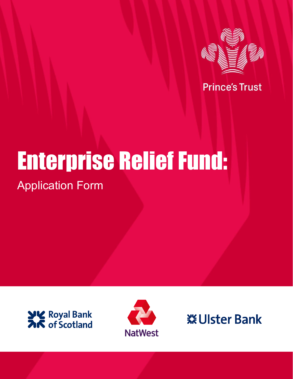

**Prince's Trust** 

# Enterprise Relief Fund: Application Form





**※Ulster Bank**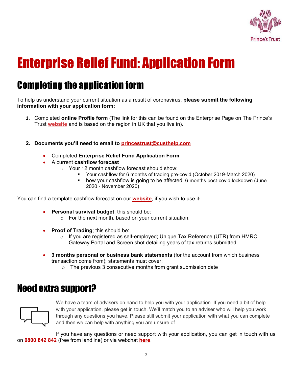

# Enterprise Relief Fund: Application Form

# Completing the application form

To help us understand your current situation as a result of coronavirus, **please submit the following information with your application form:**

- **1.** Completed **online Profile form** (The link for this can be found on the Enterprise Page on The Prince's Trust **[website](https://www.princes-trust.org.uk/about-the-trust/coronavirus-response/enterprise-relief-fund?gclid=EAIaIQobChMI8Y2Eouem6gIV0oBQBh2RqQTLEAAYASAAEgKrZ_D_BwE)** and is based on the region in UK that you live in).
- **2. Documents you'll need to email to [princestrust@custhelp.com](mailto:princestrust@custhelp.com)**
	- Completed **Enterprise Relief Fund Application Form**
	- A current **cashflow forecast**
		- o Your 12 month cashflow forecast should show:
			- Your cashflow for 6 months of trading pre-covid (October 2019-March 2020)
			- how your cashflow is going to be affected 6-months post-covid lockdown (June 2020 - November 2020)

You can find a template cashflow forecast on our **[website](https://www.princes-trust.org.uk/about-the-trust/coronavirus-response/enterprise-relief-fund?gclid=EAIaIQobChMI8Y2Eouem6gIV0oBQBh2RqQTLEAAYASAAEgKrZ_D_BwE)**, if you wish to use it:

- **Personal survival budget**; this should be:
	- o For the next month, based on your current situation.
- **Proof of Trading**; this should be:
	- o If you are registered as self-employed; Unique Tax Reference (UTR) from HMRC Gateway Portal and Screen shot detailing years of tax returns submitted
- **3 months personal or business bank statements** (for the account from which business transaction come from); statements must cover:
	- o The previous 3 consecutive months from grant submission date

# Need extra support?



We have a team of advisers on hand to help you with your application. If you need a bit of help with your application, please get in touch. We'll match you to an adviser who will help you work through any questions you have. Please still submit your application with what you can complete and then we can help with anything you are unsure of.

If you have any questions or need support with your application, you can get in touch with us on **0800 842 842** (free from landline) or via webchat **here**.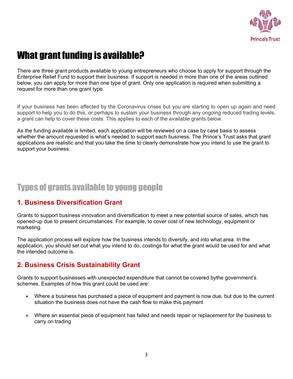

# What grant funding is available?

There are three grant products available to young entrepreneurs who choose to apply for support through the Enterprise Relief Fund to support their business. If support is needed in more than one of the areas outlined below, you can apply for more than one type of grant. Only one application is required when submitting a request for more than one grant type.

If your business has been affected by the Coronavirus crises but you are starting to open up again and need support to help you to do this, or perhaps to sustain your business through any ongoing reduced trading levels, a grant can help to cover these costs. This applies to each of the available grants below.

As the funding available is limited, each application will be reviewed on a case by case basis to assess whether the amount requested is what's needed to support each business. The Prince's Trust asks that grant applications are realistic and that you take the time to clearly demonstrate how you intend to use the grant to support your business.

# Types of grants available to young people

### **1. Business Diversification Grant**

Grants to support business innovation and diversification to meet a new potential source of sales, which has opened-up due to present circumstances. For example, to cover cost of new technology, equipment or marketing.

The application process will explore how the business intends to diversify, and into what area. In the application, you should set out what you intend to do, costings for what the grant would be used for and what the intended outcome is.

### **2. Business Crisis Sustainability Grant**

Grants to support businesses with unexpected expenditure that cannot be covered bythe government's schemes. Examples of how this grant could be used are:

- Where a business has purchased a piece of equipment and payment is now due, but due to the current situation the business does not have the cash flow to make this payment
- Where an essential piece of equipment has failed and needs repair or replacement for the business to carry on trading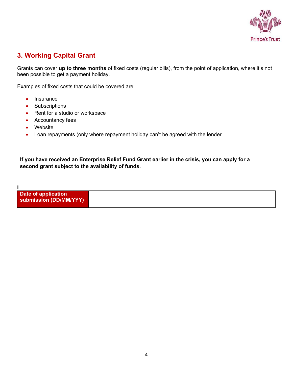

## **3. Working Capital Grant**

Grants can cover **up to three months** of fixed costs (regular bills), from the point of application, where it's not been possible to get a payment holiday.

Examples of fixed costs that could be covered are:

- Insurance
- Subscriptions
- Rent for a studio or workspace
- Accountancy fees
- Website

**I**

• Loan repayments (only where repayment holiday can't be agreed with the lender

**If you have received an Enterprise Relief Fund Grant earlier in the crisis, you can apply for a second grant subject to the availability of funds.** 

**Date of application submission (DD/MM/YYY)**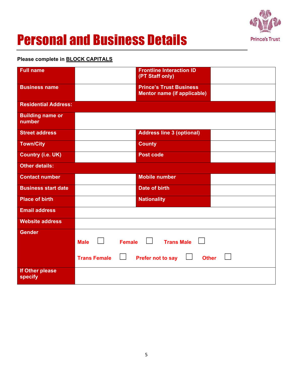

# Personal and Business Details

### **Please complete in BLOCK CAPITALS**

| <b>Full name</b>                  |                                                                 | <b>Frontline Interaction ID</b><br>(PT Staff only) |  |  |
|-----------------------------------|-----------------------------------------------------------------|----------------------------------------------------|--|--|
| <b>Business name</b>              | <b>Prince's Trust Business</b>                                  |                                                    |  |  |
|                                   |                                                                 | <b>Mentor name (if applicable)</b>                 |  |  |
| <b>Residential Address:</b>       |                                                                 |                                                    |  |  |
| <b>Building name or</b><br>number |                                                                 |                                                    |  |  |
| <b>Street address</b>             |                                                                 | <b>Address line 3 (optional)</b>                   |  |  |
| <b>Town/City</b>                  |                                                                 | <b>County</b>                                      |  |  |
| <b>Country (i.e. UK)</b>          | <b>Post code</b>                                                |                                                    |  |  |
| <b>Other details:</b>             |                                                                 |                                                    |  |  |
| <b>Contact number</b>             |                                                                 | <b>Mobile number</b>                               |  |  |
| <b>Business start date</b>        |                                                                 | <b>Date of birth</b>                               |  |  |
| <b>Place of birth</b>             |                                                                 | <b>Nationality</b>                                 |  |  |
| <b>Email address</b>              |                                                                 |                                                    |  |  |
| <b>Website address</b>            |                                                                 |                                                    |  |  |
| <b>Gender</b>                     | $\mathsf{L}$<br><b>Female</b><br><b>Male</b>                    | $\Box$<br><b>Trans Male</b>                        |  |  |
|                                   | <b>Trans Female</b><br><b>Prefer not to say</b><br><b>Other</b> |                                                    |  |  |
| If Other please<br>specify        |                                                                 |                                                    |  |  |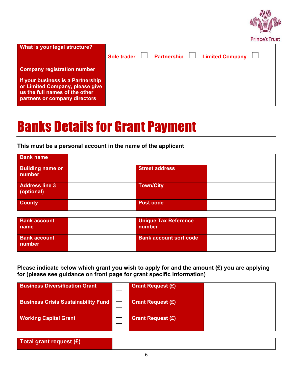

| What is your legal structure?                                                                                                           | Sole trader $\Box$ Partnership $\Box$ Limited Company $\Box$ |  |
|-----------------------------------------------------------------------------------------------------------------------------------------|--------------------------------------------------------------|--|
| <b>Company registration number</b>                                                                                                      |                                                              |  |
| If your business is a Partnership<br>or Limited Company, please give<br>us the full names of the other<br>partners or company directors |                                                              |  |

# Banks Details for Grant Payment

### **This must be a personal account in the name of the applicant**

| <b>Bank name</b>                    |                       |  |
|-------------------------------------|-----------------------|--|
| <b>Building name or</b><br>number   | <b>Street address</b> |  |
| <b>Address line 3</b><br>(optional) | <b>Town/City</b>      |  |
| <b>County</b>                       | <b>Post code</b>      |  |

| <b>Bank account</b><br>name   | <b>Unique Tax Reference</b><br>number |  |
|-------------------------------|---------------------------------------|--|
| <b>Bank account</b><br>number | <b>Bank account sort code</b>         |  |

**Please indicate below which grant you wish to apply for and the amount (£) you are applying for (please see guidance on front page for grant specific information)**

| <b>Business Diversification Grant</b>      | <b>Grant Request (£)</b> |  |
|--------------------------------------------|--------------------------|--|
| <b>Business Crisis Sustainability Fund</b> | <b>Grant Request (£)</b> |  |
| <b>Working Capital Grant</b>               | <b>Grant Request (£)</b> |  |

| Total grant request (£) |  |
|-------------------------|--|
|                         |  |
|                         |  |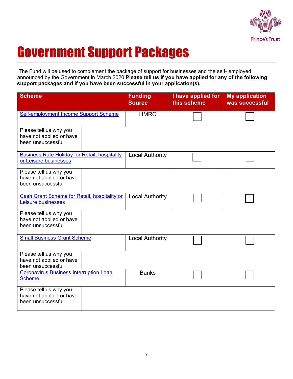

# Government Support Packages

The Fund will be used to complement the package of support for businesses and the self- employed, announced by the Government in March 2020 **Please tell us if you have applied for any of the following support packages and if you have been successful in your application(s).**

| <b>Scheme</b>                                                                 | <b>Funding</b><br><b>Source</b> | I have applied for<br>this scheme | <b>My application</b><br>was successful |
|-------------------------------------------------------------------------------|---------------------------------|-----------------------------------|-----------------------------------------|
| Self-employment Income Support Scheme                                         | <b>HMRC</b>                     |                                   |                                         |
| Please tell us why you<br>have not applied or have<br>been unsuccessful       |                                 |                                   |                                         |
| <b>Business Rate Holiday for Retail, hospitality</b><br>or Leisure businesses | <b>Local Authority</b>          |                                   |                                         |
| Please tell us why you<br>have not applied or have<br>been unsuccessful       |                                 |                                   |                                         |
| Cash Grant Scheme for Retail, hospitality or<br>Leisure businesses            | <b>Local Authority</b>          |                                   |                                         |
| Please tell us why you<br>have not applied or have<br>been unsuccessful       |                                 |                                   |                                         |
| <b>Small Business Grant Scheme</b>                                            | <b>Local Authority</b>          |                                   |                                         |
| Please tell us why you<br>have not applied or have<br>been unsuccessful       |                                 |                                   |                                         |
| <b>Coronavirus Business Interruption Loan</b><br><b>Scheme</b>                | <b>Banks</b>                    |                                   |                                         |
| Please tell us why you<br>have not applied or have<br>been unsuccessful       |                                 |                                   |                                         |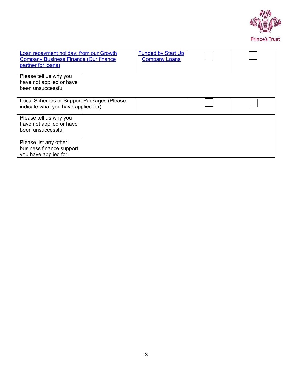

| <b>Loan repayment holiday: from our Growth</b><br><b>Company Business Finance (Our finance</b><br>partner for loans) | <b>Funded by Start Up</b><br><b>Company Loans</b> |  |
|----------------------------------------------------------------------------------------------------------------------|---------------------------------------------------|--|
| Please tell us why you                                                                                               |                                                   |  |
| have not applied or have                                                                                             |                                                   |  |
| been unsuccessful                                                                                                    |                                                   |  |
| Local Schemes or Support Packages (Please                                                                            |                                                   |  |
| indicate what you have applied for)                                                                                  |                                                   |  |
| Please tell us why you                                                                                               |                                                   |  |
| have not applied or have                                                                                             |                                                   |  |
| been unsuccessful                                                                                                    |                                                   |  |
| Please list any other                                                                                                |                                                   |  |
| business finance support                                                                                             |                                                   |  |
| you have applied for                                                                                                 |                                                   |  |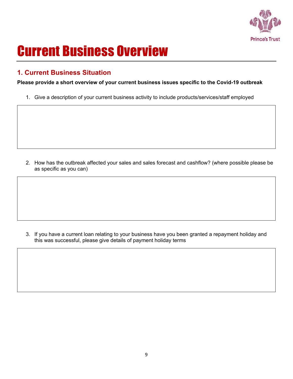

# Current Business Overview

### **1. Current Business Situation**

**Please provide a short overview of your current business issues specific to the Covid-19 outbreak**

1. Give a description of your current business activity to include products/services/staff employed

2. How has the outbreak affected your sales and sales forecast and cashflow? (where possible please be as specific as you can)

3. If you have a current loan relating to your business have you been granted a repayment holiday and this was successful, please give details of payment holiday terms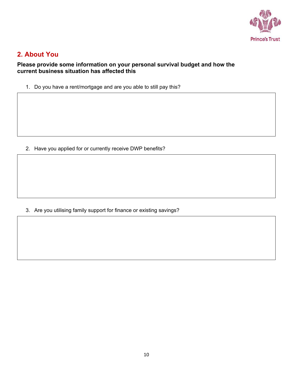

### **2. About You**

### **Please provide some information on your personal survival budget and how the current business situation has affected this**

1. Do you have a rent/mortgage and are you able to still pay this?

2. Have you applied for or currently receive DWP benefits?

3. Are you utilising family support for finance or existing savings?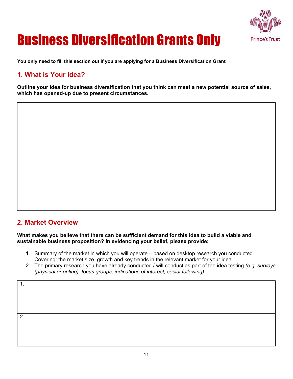

# Business Diversification Grants Only

**You only need to fill this section out if you are applying for a Business Diversification Grant** 

## **1. What is Your Idea?**

**Outline your idea for business diversification that you think can meet a new potential source of sales, which has opened-up due to present circumstances.**

### **2. Market Overview**

**What makes you believe that there can be sufficient demand for this idea to build a viable and sustainable business proposition? In evidencing your belief, please provide:** 

- 1. Summary of the market in which you will operate based on desktop research you conducted. Covering: the market size, growth and key trends in the relevant market for your idea
- 2. The primary research you have already conducted / will conduct as part of the idea testing *(e.g. surveys (physical or online), focus groups, indications of interest, social following)*

1.

2.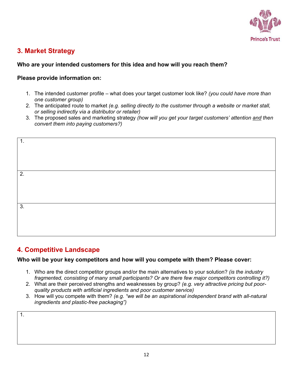

### **3. Market Strategy**

### **Who are your intended customers for this idea and how will you reach them?**

### **Please provide information on:**

- 1. The intended customer profile what does your target customer look like? *(you could have more than one customer group)*
- 2. The anticipated route to market *(e.g. selling directly to the customer through a website or market stall, or selling indirectly via a distributor or retailer)*
- 3. The proposed sales and marketing strategy *(how will you get your target customers' attention and then convert them into paying customers?)*



### **4. Competitive Landscape**

### **Who will be your key competitors and how will you compete with them? Please cover:**

- 1. Who are the direct competitor groups and/or the main alternatives to your solution? *(is the industry fragmented, consisting of many small participants? Or are there few major competitors controlling it?)*
- 2. What are their perceived strengths and weaknesses by group? *(e.g. very attractive pricing but poorquality products with artificial ingredients and poor customer service)*
- 3. How will you compete with them? *(e.g. "we will be an aspirational independent brand with all-natural ingredients and plastic-free packaging")*

| I<br>۰, |  |
|---------|--|
|         |  |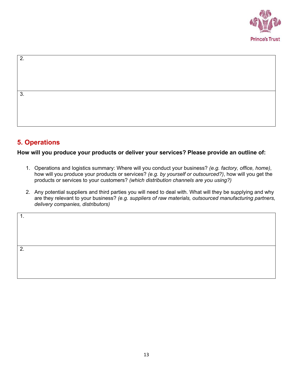

2. 3.

## **5. Operations**

**How will you produce your products or deliver your services? Please provide an outline of:** 

- 1. Operations and logistics summary: Where will you conduct your business? *(e.g. factory, office, home)*, how will you produce your products or services? *(e.g. by yourself or outsourced?)*, how will you get the products or services to your customers? *(which distribution channels are you using?)*
- 2. Any potential suppliers and third parties you will need to deal with. What will they be supplying and why are they relevant to your business? *(e.g. suppliers of raw materials, outsourced manufacturing partners, delivery companies, distributors)*

2.

1.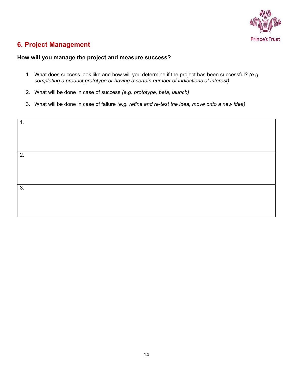

## **6. Project Management**

#### **How will you manage the project and measure success?**

- 1. What does success look like and how will you determine if the project has been successful? *(e.g completing a product prototype or having a certain number of indications of interest)*
- 2. What will be done in case of success *(e.g. prototype, beta, launch)*
- 3. What will be done in case of failure *(e.g. refine and re-test the idea, move onto a new idea)*

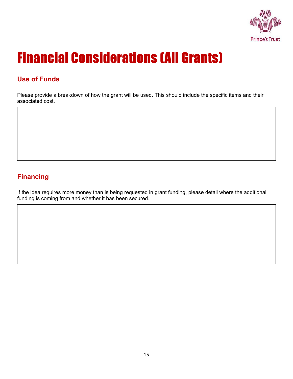

# Financial Considerations (All Grants)

# **Use of Funds**

Please provide a breakdown of how the grant will be used. This should include the specific items and their associated cost.

# **Financing**

If the idea requires more money than is being requested in grant funding, please detail where the additional funding is coming from and whether it has been secured.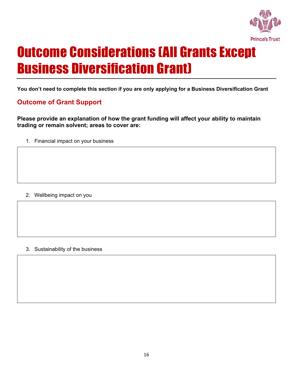

# Outcome Considerations (All Grants Except Business Diversification Grant)

**You don't need to complete this section if you are only applying for a Business Diversification Grant** 

# **Outcome of Grant Support**

**Please provide an explanation of how the grant funding will affect your ability to maintain trading or remain solvent; areas to cover are:**

1. Financial impact on your business

### 2. Wellbeing impact on you

#### 3. Sustainability of the business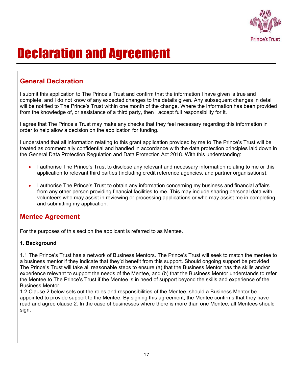

# Declaration and Agreement

## **General Declaration**

I submit this application to The Prince's Trust and confirm that the information I have given is true and complete, and I do not know of any expected changes to the details given. Any subsequent changes in detail will be notified to The Prince's Trust within one month of the change. Where the information has been provided from the knowledge of, or assistance of a third party, then I accept full responsibility for it.

I agree that The Prince's Trust may make any checks that they feel necessary regarding this information in order to help allow a decision on the application for funding.

I understand that all information relating to this grant application provided by me to The Prince's Trust will be treated as commercially confidential and handled in accordance with the data protection principles laid down in the General Data Protection Regulation and Data Protection Act 2018. With this understanding:

- I authorise The Prince's Trust to disclose any relevant and necessary information relating to me or this application to relevant third parties (including credit reference agencies, and partner organisations).
- I authorise The Prince's Trust to obtain any information concerning my business and financial affairs from any other person providing financial facilities to me. This may include sharing personal data with volunteers who may assist in reviewing or processing applications or who may assist me in completing and submitting my application.

### **Mentee Agreement**

For the purposes of this section the applicant is referred to as Mentee.

### **1. Background**

1.1 The Prince's Trust has a network of Business Mentors. The Prince's Trust will seek to match the mentee to a business mentor if they indicate that they'd benefit from this support. Should ongoing support be provided The Prince's Trust will take all reasonable steps to ensure (a) that the Business Mentor has the skills and/or experience relevant to support the needs of the Mentee, and (b) that the Business Mentor understands to refer the Mentee to The Prince's Trust if the Mentee is in need of support beyond the skills and experience of the Business Mentor.

1.2 Clause 2 below sets out the roles and responsibilities of the Mentee, should a Business Mentor be appointed to provide support to the Mentee. By signing this agreement, the Mentee confirms that they have read and agree clause 2. In the case of businesses where there is more than one Mentee, all Mentees should sign.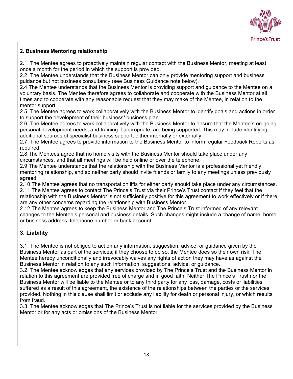

### **2. Business Mentoring relationship**

2.1. The Mentee agrees to proactively maintain regular contact with the Business Mentor, meeting at least once a month for the period in which the support is provided.

2.2. The Mentee understands that the Business Mentor can only provide mentoring support and business guidance but not business consultancy (see Business Guidance note below).

2.4 The Mentee understands that the Business Mentor is providing support and guidance to the Mentee on a voluntary basis. The Mentee therefore agrees to collaborate and cooperate with the Business Mentor at all times and to cooperate with any reasonable request that they may make of the Mentee, in relation to the mentor support.

2.5. The Mentee agrees to work collaboratively with the Business Mentor to identify goals and actions in order to support the development of their business/ business plan.

2.6. The Mentee agrees to work collaboratively with the Business Mentor to ensure that the Mentee's on-going personal development needs, and training if appropriate, are being supported. This may include identifying additional sources of specialist business support, either internally or externally.

2.7. The Mentee agrees to provide information to the Business Mentor to inform regular Feedback Reports as required.

2.8 The Mentees agree that no home visits with the Business Mentor should take place under any circumstances, and that all meetings will be held online or over the telephone.

2.9 The Mentee understands that the relationship with the Business Mentor is a professional yet friendly mentoring relationship, and so neither party should invite friends or family to any meetings unless previously agreed.

2.10 The Mentee agrees that no transportation lifts for either party should take place under any circumstances. 2.11 The Mentee agrees to contact The Prince's Trust via their Prince's Trust contact if they feel that the relationship with the Business Mentor is not sufficiently positive for this agreement to work effectively or if there are any other concerns regarding the relationship with Business Mentor.

2.12 The Mentee agrees to keep the Business Mentor and The Prince's Trust informed of any relevant changes to the Mentee's personal and business details. Such changes might include a change of name, home or business address, telephone number or bank account.

### **3. Liability**

3.1. The Mentee is not obliged to act on any information, suggestion, advice, or guidance given by the Business Mentor as part of the services; if they choose to do so, the Mentee does so their own risk. The Mentee hereby unconditionally and irrevocably waives any rights of action they may have as against the Business Mentor in relation to any such information, suggestions, advice, or guidance.

3.2. The Mentee acknowledges that any services provided by The Prince's Trust and the Business Mentor in relation to this agreement are provided free of charge and in good faith. Neither The Prince's Trust nor the Business Mentor will be liable to the Mentee or to any third party for any loss, damage, costs or liabilities suffered as a result of this agreement, the existence of the relationships between the parties or the services provided. Nothing in this clause shall limit or exclude any liability for death or personal injury, or which results from fraud.

3.3. The Mentee acknowledges that The Prince's Trust is not liable for the services provided by the Business Mentor or for any acts or omissions of the Business Mentor.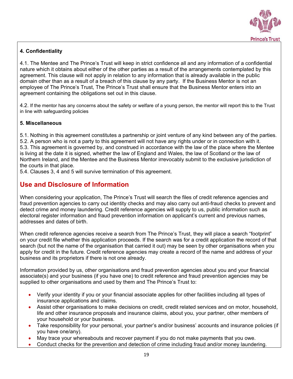

### **4. Confidentiality**

4.1. The Mentee and The Prince's Trust will keep in strict confidence all and any information of a confidential nature which it obtains about either of the other parties as a result of the arrangements contemplated by this agreement. This clause will not apply in relation to any information that is already available in the public domain other than as a result of a breach of this clause by any party. If the Business Mentor is not an employee of The Prince's Trust, The Prince's Trust shall ensure that the Business Mentor enters into an agreement containing the obligations set out in this clause.

4.2. If the mentor has any concerns about the safety or welfare of a young person, the mentor will report this to the Trust in line with safeguarding policies

#### **5. Miscellaneous**

5.1. Nothing in this agreement constitutes a partnership or joint venture of any kind between any of the parties. 5.2. A person who is not a party to this agreement will not have any rights under or in connection with it. 5.3. This agreement is governed by, and construed in accordance with the law of the place where the Mentee is living at the date it is signed, whether the law of England and Wales, the law of Scotland or the law of Northern Ireland, and the Mentee and the Business Mentor irrevocably submit to the exclusive jurisdiction of the courts in that place.

5.4. Clauses 3, 4 and 5 will survive termination of this agreement.

### **Use and Disclosure of Information**

When considering your application, The Prince's Trust will search the files of credit reference agencies and fraud prevention agencies to carry out identity checks and may also carry out anti-fraud checks to prevent and detect crime and money laundering. Credit reference agencies will supply to us, public information such as electoral register information and fraud prevention information on applicant's current and previous names, addresses and dates of birth.

When credit reference agencies receive a search from The Prince's Trust, they will place a search "footprint" on your credit file whether this application proceeds. If the search was for a credit application the record of that search (but not the name of the organisation that carried it out) may be seen by other organisations when you apply for credit in the future. Credit reference agencies may create a record of the name and address of your business and its proprietors if there is not one already.

Information provided by us, other organisations and fraud prevention agencies about you and your financial associate(s) and your business (if you have one) to credit reference and fraud prevention agencies may be supplied to other organisations and used by them and The Prince's Trust to:

- Verify your identity if you or your financial associate applies for other facilities including all types of insurance applications and claims.
- Assist other organisations to make decisions on credit, credit related services and on motor, household, life and other insurance proposals and insurance claims, about you, your partner, other members of your household or your business.
- Take responsibility for your personal, your partner's and/or business' accounts and insurance policies (if you have one/any).
- May trace your whereabouts and recover payment if you do not make payments that you owe.
- Conduct checks for the prevention and detection of crime including fraud and/or money laundering.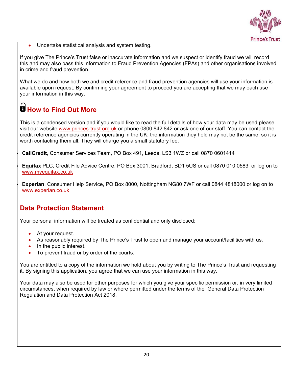

Undertake statistical analysis and system testing.

If you give The Prince's Trust false or inaccurate information and we suspect or identify fraud we will record this and may also pass this information to Fraud Prevention Agencies (FPAs) and other organisations involved in crime and fraud prevention.

What we do and how both we and credit reference and fraud prevention agencies will use your information is available upon request. By confirming your agreement to proceed you are accepting that we may each use your information in this way.

# **How to Find Out More**

This is a condensed version and if you would like to read the full details of how your data may be used please visit our website [www.princes-trust.org.uk](http://www.princes-trust.org.uk/) or phone 0800 842 842 or ask one of our staff. You can contact the credit reference agencies currently operating in the UK; the information they hold may not be the same, so it is worth contacting them all. They will charge you a small statutory fee.

• **CallCredit**, Consumer Services Team, PO Box 491, Leeds, LS3 1WZ or call 0870 0601414

• **Equifax** PLC, Credit File Advice Centre, PO Box 3001, Bradford, BD1 5US or call 0870 010 0583 or log on to [www.myequifax.co.uk](http://www.myequifax.co.uk/)

• **Experian**, Consumer Help Service, PO Box 8000, Nottingham NG80 7WF or call 0844 4818000 or log on to [www.experian.co.uk](http://www.experian.co.uk/)

### **Data Protection Statement**

Your personal information will be treated as confidential and only disclosed:

- At your request.
- As reasonably required by The Prince's Trust to open and manage your account/facilities with us.
- In the public interest.
- To prevent fraud or by order of the courts.

You are entitled to a copy of the information we hold about you by writing to The Prince's Trust and requesting it. By signing this application, you agree that we can use your information in this way.

Your data may also be used for other purposes for which you give your specific permission or, in very limited circumstances, when required by law or where permitted under the terms of the General Data Protection Regulation and Data Protection Act 2018.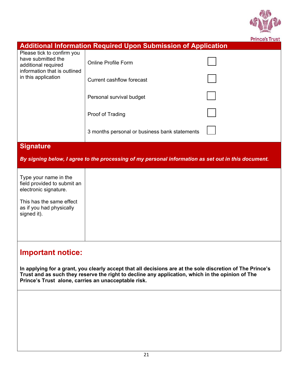

|                                                                                                                                       |                                                                                                     | <b>Prince's Trust</b> |  |
|---------------------------------------------------------------------------------------------------------------------------------------|-----------------------------------------------------------------------------------------------------|-----------------------|--|
|                                                                                                                                       | <b>Additional Information Required Upon Submission of Application</b>                               |                       |  |
| Please tick to confirm you<br>have submitted the<br>additional required<br>information that is outlined                               | <b>Online Profile Form</b>                                                                          |                       |  |
| in this application                                                                                                                   | <b>Current cashflow forecast</b>                                                                    |                       |  |
|                                                                                                                                       | Personal survival budget                                                                            |                       |  |
|                                                                                                                                       | Proof of Trading                                                                                    |                       |  |
|                                                                                                                                       | 3 months personal or business bank statements                                                       |                       |  |
| <b>Signature</b>                                                                                                                      |                                                                                                     |                       |  |
|                                                                                                                                       | By signing below, I agree to the processing of my personal information as set out in this document. |                       |  |
| Type your name in the<br>field provided to submit an<br>electronic signature.                                                         |                                                                                                     |                       |  |
| This has the same effect<br>as if you had physically<br>signed it).                                                                   |                                                                                                     |                       |  |
|                                                                                                                                       |                                                                                                     |                       |  |
| <b>Important notice:</b><br>In applying for a grant, you clearly accept that all decisions are at the sole discretion of The Prince's |                                                                                                     |                       |  |

**In applying for a grant, you clearly accept that all decisions are at the sole discretion of The Prince's Trust and as such they reserve the right to decline any application, which in the opinion of The Prince's Trust alone, carries an unacceptable risk.**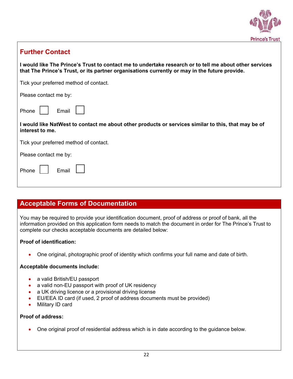

### **Further Contact**

**I would like The Prince's Trust to contact me to undertake research or to tell me about other services that The Prince's Trust, or its partner organisations currently or may in the future provide.**

Tick your preferred method of contact.

Please contact me by:

Phone

| н<br>н<br>ı |  |
|-------------|--|
|-------------|--|

**I would like NatWest to contact me about other products or services similar to this, that may be of interest to me.** 

Tick your preferred method of contact.

Please contact me by:

| <b>Phone</b> | ⊢mail |  |  |
|--------------|-------|--|--|
|--------------|-------|--|--|

### **Acceptable Forms of Documentation**

You may be required to provide your identification document, proof of address or proof of bank, all the information provided on this application form needs to match the document in order for The Prince's Trust to complete our checks acceptable documents are detailed below:

#### **Proof of identification:**

• One original, photographic proof of identity which confirms your full name and date of birth.

### **Acceptable documents include:**

- a valid British/EU passport
- a valid non-EU passport with proof of UK residency
- a UK driving licence or a provisional driving license
- EU/EEA ID card (if used, 2 proof of address documents must be provided)
- Military ID card

#### **Proof of address:**

• One original proof of residential address which is in date according to the guidance below.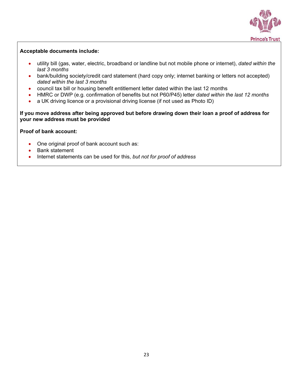

#### **Acceptable documents include:**

- utility bill (gas, water, electric, broadband or landline but not mobile phone or internet), *dated within the last 3 months*
- bank/building society/credit card statement (hard copy only; internet banking or letters not accepted) *dated within the last 3 months*
- council tax bill or housing benefit entitlement letter dated within the last 12 months
- HMRC or DWP (e.g. confirmation of benefits but not P60/P45) letter *dated within the last 12 months*
- a UK driving licence or a provisional driving license (if not used as Photo ID)

#### **If you move address after being approved but before drawing down their loan a proof of address for your new address must be provided**

#### **Proof of bank account:**

- One original proof of bank account such as:
- Bank statement
- Internet statements can be used for this, *but not for proof of address*